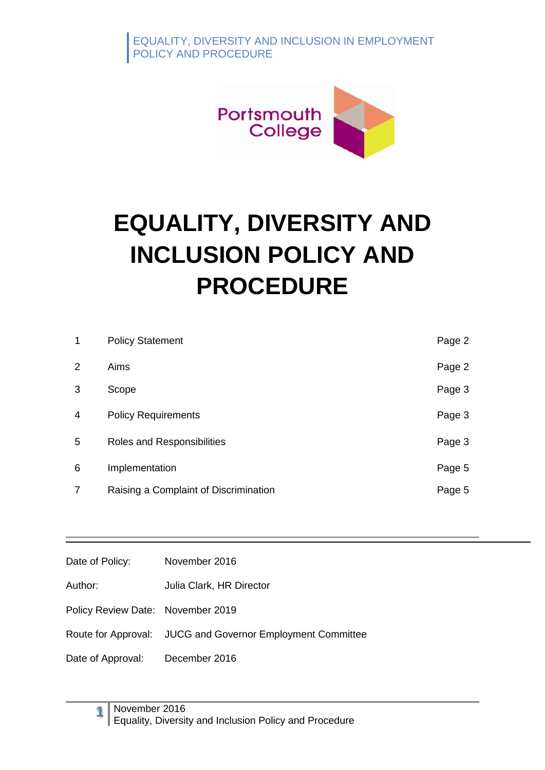

# **EQUALITY, DIVERSITY AND INCLUSION POLICY AND PROCEDURE**

| $\mathbf 1$    | <b>Policy Statement</b>               | Page 2 |
|----------------|---------------------------------------|--------|
| 2              | Aims                                  | Page 2 |
| 3              | Scope                                 | Page 3 |
| $\overline{4}$ | <b>Policy Requirements</b>            | Page 3 |
| 5              | Roles and Responsibilities            | Page 3 |
| 6              | Implementation                        | Page 5 |
| 7              | Raising a Complaint of Discrimination | Page 5 |

| Date of Policy:                   | November 2016                                              |
|-----------------------------------|------------------------------------------------------------|
| Author:                           | Julia Clark, HR Director                                   |
| Policy Review Date: November 2019 |                                                            |
|                                   | Route for Approval: JUCG and Governor Employment Committee |
| Date of Approval: December 2016   |                                                            |
|                                   |                                                            |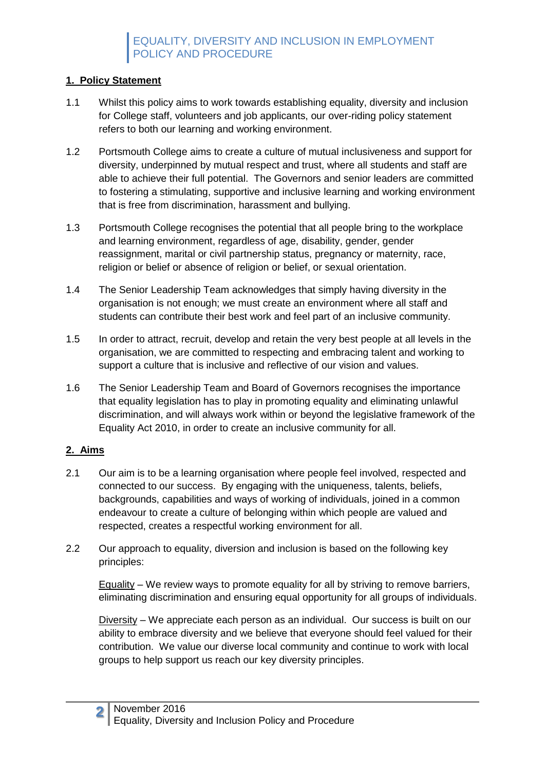## **1. Policy Statement**

- 1.1 Whilst this policy aims to work towards establishing equality, diversity and inclusion for College staff, volunteers and job applicants, our over-riding policy statement refers to both our learning and working environment.
- 1.2 Portsmouth College aims to create a culture of mutual inclusiveness and support for diversity, underpinned by mutual respect and trust, where all students and staff are able to achieve their full potential. The Governors and senior leaders are committed to fostering a stimulating, supportive and inclusive learning and working environment that is free from discrimination, harassment and bullying.
- 1.3 Portsmouth College recognises the potential that all people bring to the workplace and learning environment, regardless of age, disability, gender, gender reassignment, marital or civil partnership status, pregnancy or maternity, race, religion or belief or absence of religion or belief, or sexual orientation.
- 1.4 The Senior Leadership Team acknowledges that simply having diversity in the organisation is not enough; we must create an environment where all staff and students can contribute their best work and feel part of an inclusive community.
- 1.5 In order to attract, recruit, develop and retain the very best people at all levels in the organisation, we are committed to respecting and embracing talent and working to support a culture that is inclusive and reflective of our vision and values.
- 1.6 The Senior Leadership Team and Board of Governors recognises the importance that equality legislation has to play in promoting equality and eliminating unlawful discrimination, and will always work within or beyond the legislative framework of the Equality Act 2010, in order to create an inclusive community for all.

## **2. Aims**

- 2.1 Our aim is to be a learning organisation where people feel involved, respected and connected to our success. By engaging with the uniqueness, talents, beliefs, backgrounds, capabilities and ways of working of individuals, joined in a common endeavour to create a culture of belonging within which people are valued and respected, creates a respectful working environment for all.
- 2.2 Our approach to equality, diversion and inclusion is based on the following key principles:

 $E$ quality – We review ways to promote equality for all by striving to remove barriers, eliminating discrimination and ensuring equal opportunity for all groups of individuals.

Diversity – We appreciate each person as an individual. Our success is built on our ability to embrace diversity and we believe that everyone should feel valued for their contribution. We value our diverse local community and continue to work with local groups to help support us reach our key diversity principles.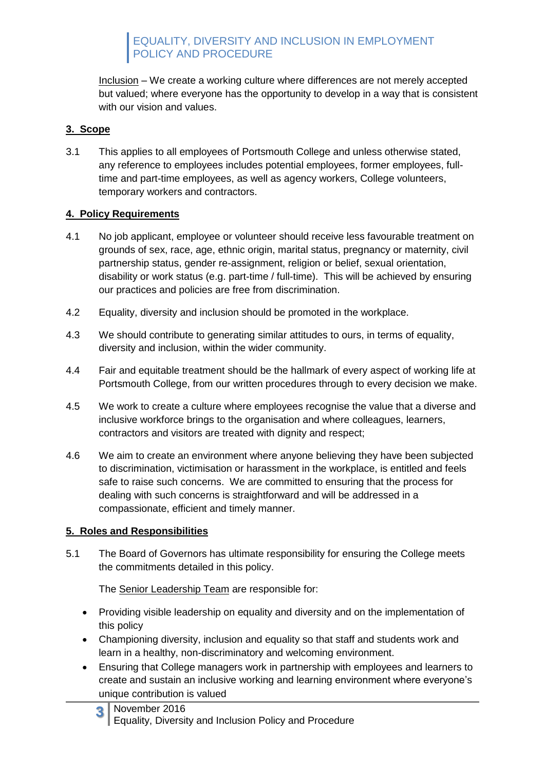EQUALITY, DIVERSITY AND INCLUSION IN EMPLOYMENT POLICY AND PROCEDURE

Inclusion – We create a working culture where differences are not merely accepted but valued; where everyone has the opportunity to develop in a way that is consistent with our vision and values.

#### **3. Scope**

3.1 This applies to all employees of Portsmouth College and unless otherwise stated, any reference to employees includes potential employees, former employees, fulltime and part-time employees, as well as agency workers, College volunteers, temporary workers and contractors.

#### **4. Policy Requirements**

- 4.1 No job applicant, employee or volunteer should receive less favourable treatment on grounds of sex, race, age, ethnic origin, marital status, pregnancy or maternity, civil partnership status, gender re-assignment, religion or belief, sexual orientation, disability or work status (e.g. part-time / full-time). This will be achieved by ensuring our practices and policies are free from discrimination.
- 4.2 Equality, diversity and inclusion should be promoted in the workplace.
- 4.3 We should contribute to generating similar attitudes to ours, in terms of equality, diversity and inclusion, within the wider community.
- 4.4 Fair and equitable treatment should be the hallmark of every aspect of working life at Portsmouth College, from our written procedures through to every decision we make.
- 4.5 We work to create a culture where employees recognise the value that a diverse and inclusive workforce brings to the organisation and where colleagues, learners, contractors and visitors are treated with dignity and respect;
- 4.6 We aim to create an environment where anyone believing they have been subjected to discrimination, victimisation or harassment in the workplace, is entitled and feels safe to raise such concerns. We are committed to ensuring that the process for dealing with such concerns is straightforward and will be addressed in a compassionate, efficient and timely manner.

#### **5. Roles and Responsibilities**

5.1 The Board of Governors has ultimate responsibility for ensuring the College meets the commitments detailed in this policy.

The Senior Leadership Team are responsible for:

- Providing visible leadership on equality and diversity and on the implementation of this policy
- Championing diversity, inclusion and equality so that staff and students work and learn in a healthy, non-discriminatory and welcoming environment.
- Ensuring that College managers work in partnership with employees and learners to create and sustain an inclusive working and learning environment where everyone's unique contribution is valued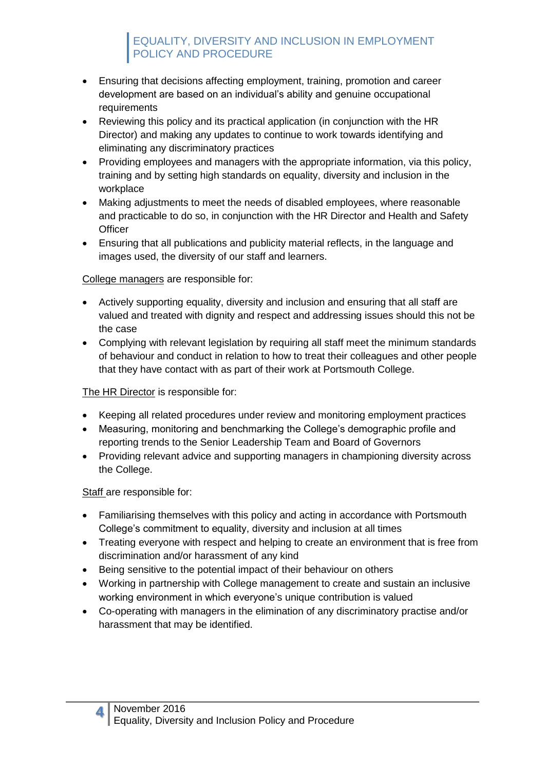# EQUALITY, DIVERSITY AND INCLUSION IN EMPLOYMENT POLICY AND PROCEDURE

- Ensuring that decisions affecting employment, training, promotion and career development are based on an individual's ability and genuine occupational requirements
- Reviewing this policy and its practical application (in conjunction with the HR Director) and making any updates to continue to work towards identifying and eliminating any discriminatory practices
- Providing employees and managers with the appropriate information, via this policy, training and by setting high standards on equality, diversity and inclusion in the workplace
- Making adjustments to meet the needs of disabled employees, where reasonable and practicable to do so, in conjunction with the HR Director and Health and Safety **Officer**
- Ensuring that all publications and publicity material reflects, in the language and images used, the diversity of our staff and learners.

#### College managers are responsible for:

- Actively supporting equality, diversity and inclusion and ensuring that all staff are valued and treated with dignity and respect and addressing issues should this not be the case
- Complying with relevant legislation by requiring all staff meet the minimum standards of behaviour and conduct in relation to how to treat their colleagues and other people that they have contact with as part of their work at Portsmouth College.

#### The HR Director is responsible for:

- Keeping all related procedures under review and monitoring employment practices
- Measuring, monitoring and benchmarking the College's demographic profile and reporting trends to the Senior Leadership Team and Board of Governors
- Providing relevant advice and supporting managers in championing diversity across the College.

#### Staff are responsible for:

- Familiarising themselves with this policy and acting in accordance with Portsmouth College's commitment to equality, diversity and inclusion at all times
- Treating everyone with respect and helping to create an environment that is free from discrimination and/or harassment of any kind
- Being sensitive to the potential impact of their behaviour on others
- Working in partnership with College management to create and sustain an inclusive working environment in which everyone's unique contribution is valued
- Co-operating with managers in the elimination of any discriminatory practise and/or harassment that may be identified.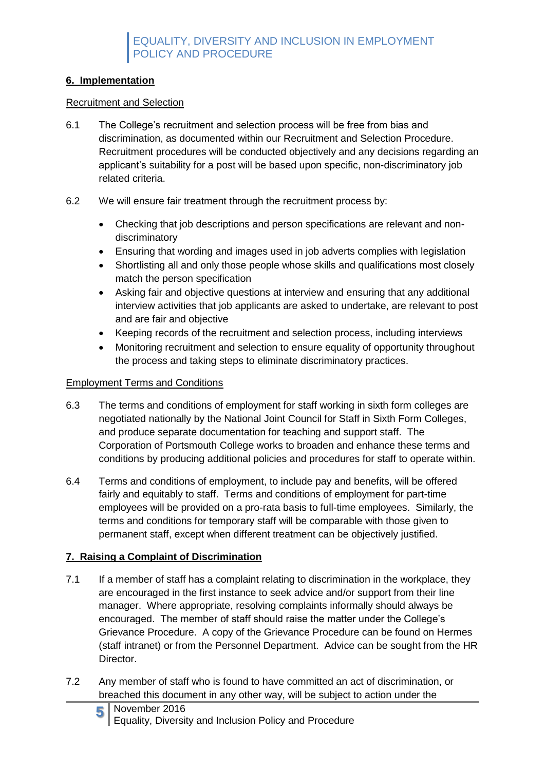#### **6. Implementation**

#### Recruitment and Selection

- 6.1 The College's recruitment and selection process will be free from bias and discrimination, as documented within our Recruitment and Selection Procedure. Recruitment procedures will be conducted objectively and any decisions regarding an applicant's suitability for a post will be based upon specific, non-discriminatory job related criteria.
- 6.2 We will ensure fair treatment through the recruitment process by:
	- Checking that job descriptions and person specifications are relevant and nondiscriminatory
	- Ensuring that wording and images used in job adverts complies with legislation
	- Shortlisting all and only those people whose skills and qualifications most closely match the person specification
	- Asking fair and objective questions at interview and ensuring that any additional interview activities that job applicants are asked to undertake, are relevant to post and are fair and objective
	- Keeping records of the recruitment and selection process, including interviews
	- Monitoring recruitment and selection to ensure equality of opportunity throughout the process and taking steps to eliminate discriminatory practices.

#### Employment Terms and Conditions

- 6.3 The terms and conditions of employment for staff working in sixth form colleges are negotiated nationally by the National Joint Council for Staff in Sixth Form Colleges, and produce separate documentation for teaching and support staff. The Corporation of Portsmouth College works to broaden and enhance these terms and conditions by producing additional policies and procedures for staff to operate within.
- 6.4 Terms and conditions of employment, to include pay and benefits, will be offered fairly and equitably to staff. Terms and conditions of employment for part-time employees will be provided on a pro-rata basis to full-time employees. Similarly, the terms and conditions for temporary staff will be comparable with those given to permanent staff, except when different treatment can be objectively justified.

## **7. Raising a Complaint of Discrimination**

- 7.1 If a member of staff has a complaint relating to discrimination in the workplace, they are encouraged in the first instance to seek advice and/or support from their line manager. Where appropriate, resolving complaints informally should always be encouraged. The member of staff should raise the matter under the College's Grievance Procedure. A copy of the Grievance Procedure can be found on Hermes (staff intranet) or from the Personnel Department. Advice can be sought from the HR Director.
- 7.2 Any member of staff who is found to have committed an act of discrimination, or breached this document in any other way, will be subject to action under the